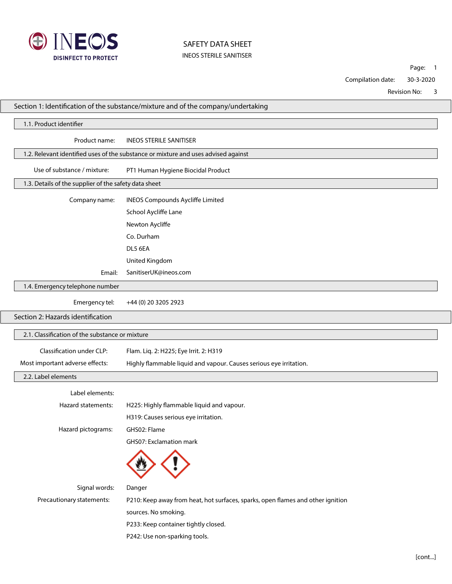

Page: 1

Compilation date: 30-3-2020

Revision No: 3

|                                   | Section 1: Identification of the substance/mixture and of the company/undertaking |                                                                                    |  |  |  |  |
|-----------------------------------|-----------------------------------------------------------------------------------|------------------------------------------------------------------------------------|--|--|--|--|
| 1.1. Product identifier           |                                                                                   |                                                                                    |  |  |  |  |
|                                   | Product name:                                                                     | <b>INEOS STERILE SANITISER</b>                                                     |  |  |  |  |
|                                   |                                                                                   | 1.2. Relevant identified uses of the substance or mixture and uses advised against |  |  |  |  |
|                                   | Use of substance / mixture:                                                       | PT1 Human Hygiene Biocidal Product                                                 |  |  |  |  |
|                                   | 1.3. Details of the supplier of the safety data sheet                             |                                                                                    |  |  |  |  |
|                                   | Company name:                                                                     | <b>INEOS Compounds Aycliffe Limited</b>                                            |  |  |  |  |
|                                   |                                                                                   | School Aycliffe Lane                                                               |  |  |  |  |
|                                   |                                                                                   | Newton Aycliffe                                                                    |  |  |  |  |
|                                   |                                                                                   | Co. Durham                                                                         |  |  |  |  |
|                                   |                                                                                   | DL5 6EA                                                                            |  |  |  |  |
|                                   |                                                                                   | United Kingdom                                                                     |  |  |  |  |
|                                   | Email:                                                                            | SanitiserUK@ineos.com                                                              |  |  |  |  |
|                                   | 1.4. Emergency telephone number                                                   |                                                                                    |  |  |  |  |
|                                   | Emergency tel:                                                                    | +44 (0) 20 3205 2923                                                               |  |  |  |  |
| Section 2: Hazards identification |                                                                                   |                                                                                    |  |  |  |  |
|                                   | 2.1. Classification of the substance or mixture                                   |                                                                                    |  |  |  |  |
|                                   | Classification under CLP:                                                         | Flam. Liq. 2: H225; Eye Irrit. 2: H319                                             |  |  |  |  |
|                                   | Most important adverse effects:                                                   | Highly flammable liquid and vapour. Causes serious eye irritation.                 |  |  |  |  |
|                                   | 2.2. Label elements                                                               |                                                                                    |  |  |  |  |
|                                   | Label elements:                                                                   |                                                                                    |  |  |  |  |
|                                   | Hazard statements:                                                                | H225: Highly flammable liquid and vapour.                                          |  |  |  |  |
|                                   |                                                                                   | H319: Causes serious eye irritation.                                               |  |  |  |  |
|                                   | Hazard pictograms:                                                                | GHS02: Flame                                                                       |  |  |  |  |
|                                   |                                                                                   | GHS07: Exclamation mark                                                            |  |  |  |  |
|                                   |                                                                                   |                                                                                    |  |  |  |  |
|                                   | Signal words:                                                                     | Danger                                                                             |  |  |  |  |
|                                   | Precautionary statements:                                                         | P210: Keep away from heat, hot surfaces, sparks, open flames and other ignition    |  |  |  |  |
|                                   |                                                                                   | sources. No smoking.                                                               |  |  |  |  |
|                                   |                                                                                   | P233: Keep container tightly closed.                                               |  |  |  |  |
|                                   |                                                                                   | P242: Use non-sparking tools.                                                      |  |  |  |  |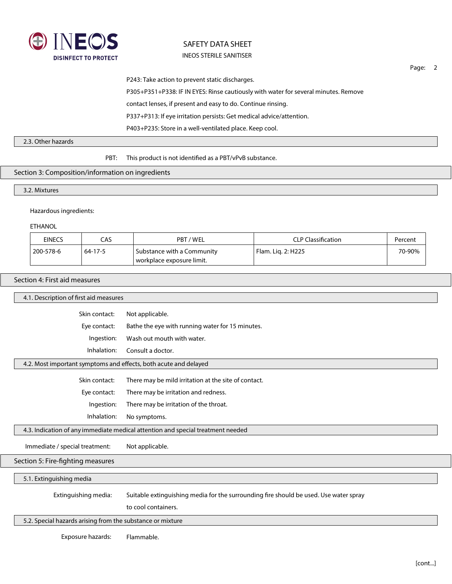

Page: 2

P243: Take action to prevent static discharges. P305+P351+P338: IF IN EYES: Rinse cautiously with water for several minutes. Remove contact lenses, if present and easy to do. Continue rinsing. P337+P313: If eye irritation persists: Get medical advice/attention. P403+P235: Store in a well-ventilated place. Keep cool.

#### 2.3. Other hazards

PBT: This product is not identified as a PBT/vPvB substance.

### Section 3: Composition/information on ingredients

3.2. Mixtures

### Hazardous ingredients:

ETHANOL

| <b>EINECS</b> | CAS           | PBT/WEL                                                 | <b>CLP Classification</b> | Percent |
|---------------|---------------|---------------------------------------------------------|---------------------------|---------|
| 200-578-6     | $64 - 17 - 5$ | Substance with a Community<br>vorkplace exposure limit. | Flam. Lig. 2: H225        | 70-90%  |

#### Section 4: First aid measures

|                                                                                 | 4.1. Description of first aid measures                                                |  |  |  |  |  |
|---------------------------------------------------------------------------------|---------------------------------------------------------------------------------------|--|--|--|--|--|
| Skin contact:                                                                   | Not applicable.                                                                       |  |  |  |  |  |
| Eye contact:                                                                    | Bathe the eye with running water for 15 minutes.                                      |  |  |  |  |  |
| Ingestion:                                                                      | Wash out mouth with water.                                                            |  |  |  |  |  |
| Inhalation:                                                                     | Consult a doctor.                                                                     |  |  |  |  |  |
| 4.2. Most important symptoms and effects, both acute and delayed                |                                                                                       |  |  |  |  |  |
| Skin contact:                                                                   | There may be mild irritation at the site of contact.                                  |  |  |  |  |  |
| Eye contact:                                                                    | There may be irritation and redness.                                                  |  |  |  |  |  |
| Ingestion:                                                                      | There may be irritation of the throat.                                                |  |  |  |  |  |
| Inhalation:                                                                     | No symptoms.                                                                          |  |  |  |  |  |
| 4.3. Indication of any immediate medical attention and special treatment needed |                                                                                       |  |  |  |  |  |
| Immediate / special treatment:                                                  | Not applicable.                                                                       |  |  |  |  |  |
| Section 5: Fire-fighting measures                                               |                                                                                       |  |  |  |  |  |
| 5.1. Extinguishing media                                                        |                                                                                       |  |  |  |  |  |
| Extinguishing media:                                                            | Suitable extinguishing media for the surrounding fire should be used. Use water spray |  |  |  |  |  |
|                                                                                 | to cool containers.                                                                   |  |  |  |  |  |
| 5.2. Special hazards arising from the substance or mixture                      |                                                                                       |  |  |  |  |  |
| Exposure hazards:                                                               | Flammable.                                                                            |  |  |  |  |  |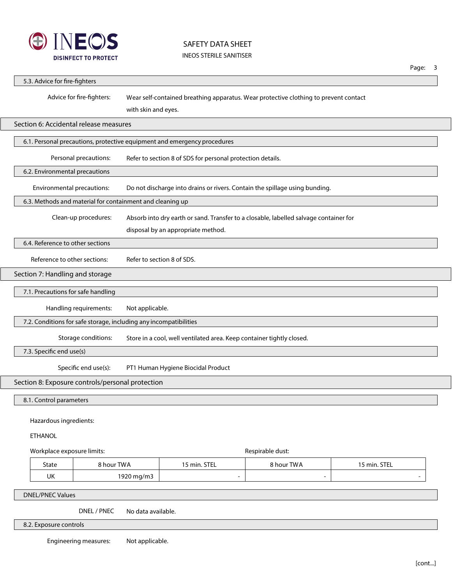

|                                                                                     |                           |                     |                                                                       |                                                                                       |              | Page: | 3 |  |
|-------------------------------------------------------------------------------------|---------------------------|---------------------|-----------------------------------------------------------------------|---------------------------------------------------------------------------------------|--------------|-------|---|--|
| 5.3. Advice for fire-fighters                                                       |                           |                     |                                                                       |                                                                                       |              |       |   |  |
|                                                                                     | Advice for fire-fighters: | with skin and eyes. |                                                                       | Wear self-contained breathing apparatus. Wear protective clothing to prevent contact  |              |       |   |  |
| Section 6: Accidental release measures                                              |                           |                     |                                                                       |                                                                                       |              |       |   |  |
| 6.1. Personal precautions, protective equipment and emergency procedures            |                           |                     |                                                                       |                                                                                       |              |       |   |  |
| Personal precautions:<br>Refer to section 8 of SDS for personal protection details. |                           |                     |                                                                       |                                                                                       |              |       |   |  |
| 6.2. Environmental precautions                                                      |                           |                     |                                                                       |                                                                                       |              |       |   |  |
| Environmental precautions:                                                          |                           |                     |                                                                       | Do not discharge into drains or rivers. Contain the spillage using bunding.           |              |       |   |  |
| 6.3. Methods and material for containment and cleaning up                           |                           |                     |                                                                       |                                                                                       |              |       |   |  |
|                                                                                     | Clean-up procedures:      |                     |                                                                       | Absorb into dry earth or sand. Transfer to a closable, labelled salvage container for |              |       |   |  |
|                                                                                     |                           |                     | disposal by an appropriate method.                                    |                                                                                       |              |       |   |  |
| 6.4. Reference to other sections                                                    |                           |                     |                                                                       |                                                                                       |              |       |   |  |
| Reference to other sections:                                                        |                           |                     | Refer to section 8 of SDS.                                            |                                                                                       |              |       |   |  |
| Section 7: Handling and storage                                                     |                           |                     |                                                                       |                                                                                       |              |       |   |  |
| 7.1. Precautions for safe handling                                                  |                           |                     |                                                                       |                                                                                       |              |       |   |  |
| Handling requirements:<br>Not applicable.                                           |                           |                     |                                                                       |                                                                                       |              |       |   |  |
| 7.2. Conditions for safe storage, including any incompatibilities                   |                           |                     |                                                                       |                                                                                       |              |       |   |  |
|                                                                                     | Storage conditions:       |                     | Store in a cool, well ventilated area. Keep container tightly closed. |                                                                                       |              |       |   |  |
| 7.3. Specific end use(s)                                                            |                           |                     |                                                                       |                                                                                       |              |       |   |  |
|                                                                                     | Specific end use(s):      |                     | PT1 Human Hygiene Biocidal Product                                    |                                                                                       |              |       |   |  |
| Section 8: Exposure controls/personal protection                                    |                           |                     |                                                                       |                                                                                       |              |       |   |  |
| 8.1. Control parameters                                                             |                           |                     |                                                                       |                                                                                       |              |       |   |  |
|                                                                                     |                           |                     |                                                                       |                                                                                       |              |       |   |  |
| <b>ETHANOL</b>                                                                      | Hazardous ingredients:    |                     |                                                                       |                                                                                       |              |       |   |  |
|                                                                                     |                           |                     |                                                                       |                                                                                       |              |       |   |  |
| Workplace exposure limits:                                                          |                           |                     |                                                                       | Respirable dust:                                                                      |              |       |   |  |
| State                                                                               | 8 hour TWA                |                     | 15 min. STEL                                                          | 8 hour TWA                                                                            | 15 min. STEL |       |   |  |
| UK                                                                                  |                           | 1920 mg/m3          |                                                                       |                                                                                       |              |       |   |  |
| <b>DNEL/PNEC Values</b>                                                             |                           |                     |                                                                       |                                                                                       |              |       |   |  |
|                                                                                     | DNEL / PNEC               | No data available.  |                                                                       |                                                                                       |              |       |   |  |

8.2. Exposure controls

Engineering measures: Not applicable.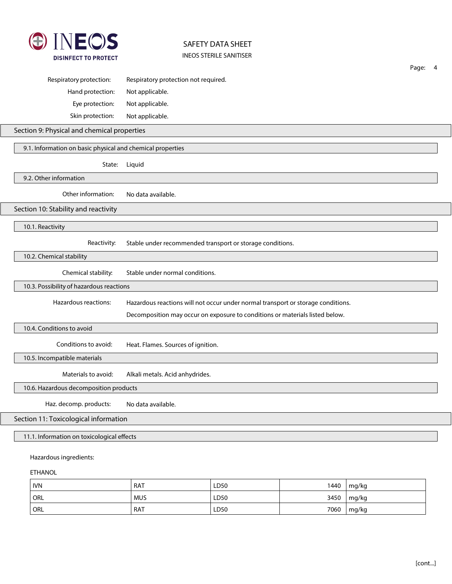

|                                            |                                                                                                                                                                                                                                                                                                                                                                                                                                                                                                                                                                 | Page: | 4 |  |  |
|--------------------------------------------|-----------------------------------------------------------------------------------------------------------------------------------------------------------------------------------------------------------------------------------------------------------------------------------------------------------------------------------------------------------------------------------------------------------------------------------------------------------------------------------------------------------------------------------------------------------------|-------|---|--|--|
| Respiratory protection:                    | Respiratory protection not required.                                                                                                                                                                                                                                                                                                                                                                                                                                                                                                                            |       |   |  |  |
| Hand protection:                           | Not applicable.                                                                                                                                                                                                                                                                                                                                                                                                                                                                                                                                                 |       |   |  |  |
| Eye protection:                            | Not applicable.                                                                                                                                                                                                                                                                                                                                                                                                                                                                                                                                                 |       |   |  |  |
| Skin protection:                           | Not applicable.                                                                                                                                                                                                                                                                                                                                                                                                                                                                                                                                                 |       |   |  |  |
|                                            |                                                                                                                                                                                                                                                                                                                                                                                                                                                                                                                                                                 |       |   |  |  |
|                                            |                                                                                                                                                                                                                                                                                                                                                                                                                                                                                                                                                                 |       |   |  |  |
| State:                                     | Section 9: Physical and chemical properties<br>9.1. Information on basic physical and chemical properties<br>Liquid<br>Other information:<br>No data available.<br>Stable under recommended transport or storage conditions.<br>Reactivity:<br>Chemical stability:<br>Stable under normal conditions.<br>Hazardous reactions:<br>Hazardous reactions will not occur under normal transport or storage conditions.<br>Decomposition may occur on exposure to conditions or materials listed below.<br>Conditions to avoid:<br>Heat. Flames. Sources of ignition. |       |   |  |  |
| 9.2. Other information                     |                                                                                                                                                                                                                                                                                                                                                                                                                                                                                                                                                                 |       |   |  |  |
|                                            |                                                                                                                                                                                                                                                                                                                                                                                                                                                                                                                                                                 |       |   |  |  |
| Section 10: Stability and reactivity       |                                                                                                                                                                                                                                                                                                                                                                                                                                                                                                                                                                 |       |   |  |  |
| 10.1. Reactivity                           |                                                                                                                                                                                                                                                                                                                                                                                                                                                                                                                                                                 |       |   |  |  |
|                                            |                                                                                                                                                                                                                                                                                                                                                                                                                                                                                                                                                                 |       |   |  |  |
| 10.2. Chemical stability                   |                                                                                                                                                                                                                                                                                                                                                                                                                                                                                                                                                                 |       |   |  |  |
|                                            |                                                                                                                                                                                                                                                                                                                                                                                                                                                                                                                                                                 |       |   |  |  |
| 10.3. Possibility of hazardous reactions   |                                                                                                                                                                                                                                                                                                                                                                                                                                                                                                                                                                 |       |   |  |  |
|                                            |                                                                                                                                                                                                                                                                                                                                                                                                                                                                                                                                                                 |       |   |  |  |
|                                            |                                                                                                                                                                                                                                                                                                                                                                                                                                                                                                                                                                 |       |   |  |  |
| 10.4. Conditions to avoid                  |                                                                                                                                                                                                                                                                                                                                                                                                                                                                                                                                                                 |       |   |  |  |
|                                            |                                                                                                                                                                                                                                                                                                                                                                                                                                                                                                                                                                 |       |   |  |  |
| 10.5. Incompatible materials               |                                                                                                                                                                                                                                                                                                                                                                                                                                                                                                                                                                 |       |   |  |  |
| Materials to avoid:                        | Alkali metals. Acid anhydrides.                                                                                                                                                                                                                                                                                                                                                                                                                                                                                                                                 |       |   |  |  |
| 10.6. Hazardous decomposition products     |                                                                                                                                                                                                                                                                                                                                                                                                                                                                                                                                                                 |       |   |  |  |
| Haz. decomp. products:                     | No data available.                                                                                                                                                                                                                                                                                                                                                                                                                                                                                                                                              |       |   |  |  |
| Section 11: Toxicological information      |                                                                                                                                                                                                                                                                                                                                                                                                                                                                                                                                                                 |       |   |  |  |
| 11.1. Information on toxicological effects |                                                                                                                                                                                                                                                                                                                                                                                                                                                                                                                                                                 |       |   |  |  |
| Hazardous ingredients:                     |                                                                                                                                                                                                                                                                                                                                                                                                                                                                                                                                                                 |       |   |  |  |
| <b>ETHANOL</b>                             |                                                                                                                                                                                                                                                                                                                                                                                                                                                                                                                                                                 |       |   |  |  |

| <b>IVN</b>       | <b>RAT</b> | LD50 | 1440 | mg/kg |
|------------------|------------|------|------|-------|
| <sup>'</sup> Orl | <b>MUS</b> | LD50 | 3450 | mg/kg |
| ' orl            | <b>RAT</b> | LD50 | 7060 | mg/kg |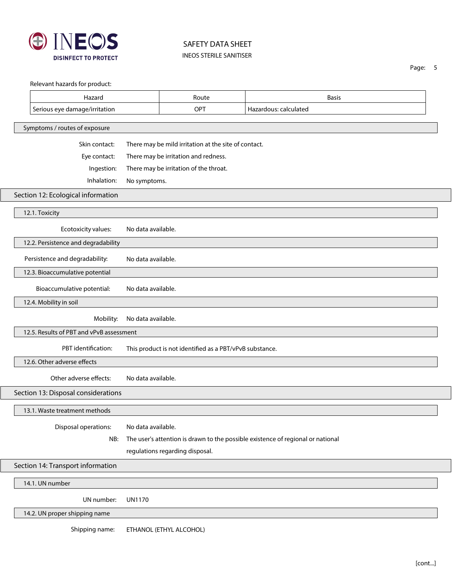

Page: 5

| 14.2. UN proper shipping name                                                  |                    |                                                                                              |                                                                                 |  |  |  |
|--------------------------------------------------------------------------------|--------------------|----------------------------------------------------------------------------------------------|---------------------------------------------------------------------------------|--|--|--|
| UN number:                                                                     | <b>UN1170</b>      |                                                                                              |                                                                                 |  |  |  |
| 14.1. UN number                                                                |                    |                                                                                              |                                                                                 |  |  |  |
| Section 14: Transport information                                              |                    |                                                                                              |                                                                                 |  |  |  |
|                                                                                |                    | regulations regarding disposal.                                                              |                                                                                 |  |  |  |
| NB:                                                                            |                    |                                                                                              | The user's attention is drawn to the possible existence of regional or national |  |  |  |
| Disposal operations:                                                           | No data available. |                                                                                              |                                                                                 |  |  |  |
| 13.1. Waste treatment methods                                                  |                    |                                                                                              |                                                                                 |  |  |  |
| Section 13: Disposal considerations                                            |                    |                                                                                              |                                                                                 |  |  |  |
| Other adverse effects:                                                         | No data available. |                                                                                              |                                                                                 |  |  |  |
| 12.6. Other adverse effects                                                    |                    |                                                                                              |                                                                                 |  |  |  |
| PBT identification:<br>This product is not identified as a PBT/vPvB substance. |                    |                                                                                              |                                                                                 |  |  |  |
| 12.5. Results of PBT and vPvB assessment                                       |                    |                                                                                              |                                                                                 |  |  |  |
| Mobility:                                                                      | No data available. |                                                                                              |                                                                                 |  |  |  |
| 12.4. Mobility in soil                                                         |                    |                                                                                              |                                                                                 |  |  |  |
| Bioaccumulative potential:                                                     | No data available. |                                                                                              |                                                                                 |  |  |  |
| 12.3. Bioaccumulative potential                                                |                    |                                                                                              |                                                                                 |  |  |  |
| Persistence and degradability:                                                 | No data available. |                                                                                              |                                                                                 |  |  |  |
| 12.2. Persistence and degradability                                            |                    |                                                                                              |                                                                                 |  |  |  |
| Ecotoxicity values:                                                            | No data available. |                                                                                              |                                                                                 |  |  |  |
| 12.1. Toxicity                                                                 |                    |                                                                                              |                                                                                 |  |  |  |
| Section 12: Ecological information                                             |                    |                                                                                              |                                                                                 |  |  |  |
| Inhalation:                                                                    | No symptoms.       |                                                                                              |                                                                                 |  |  |  |
| Ingestion:                                                                     |                    | There may be irritation of the throat.                                                       |                                                                                 |  |  |  |
| Eye contact:                                                                   |                    | There may be mild irritation at the site of contact.<br>There may be irritation and redness. |                                                                                 |  |  |  |
| Skin contact:                                                                  |                    |                                                                                              |                                                                                 |  |  |  |
| Symptoms / routes of exposure                                                  |                    |                                                                                              |                                                                                 |  |  |  |
| Serious eye damage/irritation                                                  |                    | OPT                                                                                          | Hazardous: calculated                                                           |  |  |  |
| Hazard                                                                         |                    | Route                                                                                        | <b>Basis</b>                                                                    |  |  |  |

Shipping name: ETHANOL (ETHYL ALCOHOL)